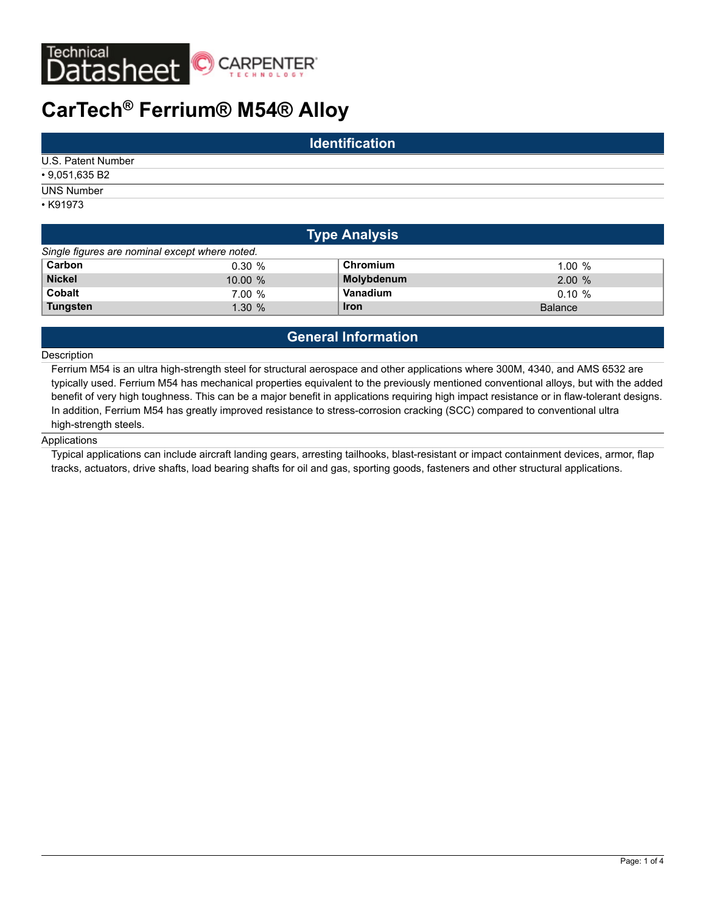

# **CarTech® Ferrium® M54® Alloy**

| <b>Identification</b> |  |  |  |
|-----------------------|--|--|--|
| U.S. Patent Number    |  |  |  |
| $\cdot$ 9,051,635 B2  |  |  |  |
| <b>UNS Number</b>     |  |  |  |
| $\cdot$ K91973        |  |  |  |

| <b>Type Analysis</b>                           |        |             |                |  |  |
|------------------------------------------------|--------|-------------|----------------|--|--|
| Single figures are nominal except where noted. |        |             |                |  |  |
| Carbon                                         | 0.30%  | Chromium    | 1.00%          |  |  |
| <b>Nickel</b>                                  | 10.00% | Molybdenum  | 2.00%          |  |  |
| <b>Cobalt</b>                                  | 7.00%  | Vanadium    | $0.10 \%$      |  |  |
| <b>Tungsten</b>                                | 1.30%  | <b>Iron</b> | <b>Balance</b> |  |  |

# **General Information**

## Description

Ferrium M54 is an ultra high-strength steel for structural aerospace and other applications where 300M, 4340, and AMS 6532 are typically used. Ferrium M54 has mechanical properties equivalent to the previously mentioned conventional alloys, but with the added benefit of very high toughness. This can be a major benefit in applications requiring high impact resistance or in flaw-tolerant designs. In addition, Ferrium M54 has greatly improved resistance to stress-corrosion cracking (SCC) compared to conventional ultra high-strength steels.

## **Applications**

Typical applications can include aircraft landing gears, arresting tailhooks, blast-resistant or impact containment devices, armor, flap tracks, actuators, drive shafts, load bearing shafts for oil and gas, sporting goods, fasteners and other structural applications.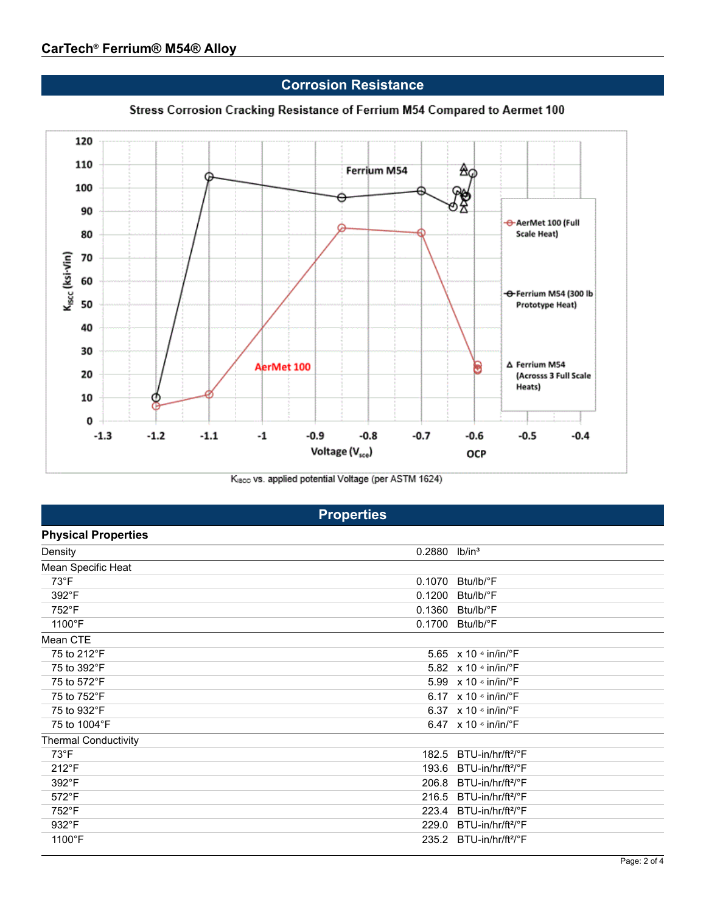**Corrosion Resistance**



Stress Corrosion Cracking Resistance of Ferrium M54 Compared to Aermet 100

Kisco vs. applied potential Voltage (per ASTM 1624)

|                             | <b>Properties</b>           |                                           |
|-----------------------------|-----------------------------|-------------------------------------------|
| <b>Physical Properties</b>  |                             |                                           |
| Density                     | $0.2880$ lb/in <sup>3</sup> |                                           |
| Mean Specific Heat          |                             |                                           |
| 73°F                        | 0.1070                      | Btu/lb/°F                                 |
| 392°F                       | 0.1200                      | Btu/lb/°F                                 |
| 752°F                       | 0.1360                      | Btu/lb/°F                                 |
| 1100°F                      | 0.1700                      | Btu/lb/°F                                 |
| Mean CTE                    |                             |                                           |
| 75 to 212°F                 |                             | 5.65 x 10 6 in/in/°F                      |
| 75 to 392°F                 |                             | 5.82 x 10 6 in/in/°F                      |
| 75 to 572°F                 |                             | 5.99 x 10 6 in/in/°F                      |
| 75 to 752°F                 |                             | 6.17 $\times$ 10 $\cdot$ in/in/ $\cdot$ F |
| 75 to 932°F                 |                             | 6.37 $\times$ 10 $\cdot$ in/in/ $\cdot$ F |
| 75 to 1004°F                |                             | 6.47 $\times$ 10 $\cdot$ in/in/ $\cdot$ F |
| <b>Thermal Conductivity</b> |                             |                                           |
| $73^{\circ}F$               | 182.5                       | BTU-in/hr/ft <sup>2</sup> /°F             |
| 212°F                       | 193.6                       | BTU-in/hr/ft <sup>2</sup> /°F             |
| 392°F                       | 206.8                       | BTU-in/hr/ft <sup>2</sup> /°F             |
| $572^{\circ}F$              | 216.5                       | BTU-in/hr/ft <sup>2</sup> /°F             |
| 752°F                       | 223.4                       | BTU-in/hr/ft <sup>2</sup> /°F             |
| 932°F                       | 229.0                       | BTU-in/hr/ft <sup>2</sup> /°F             |
| 1100°F                      | 235.2                       | BTU-in/hr/ft <sup>2</sup> /°F             |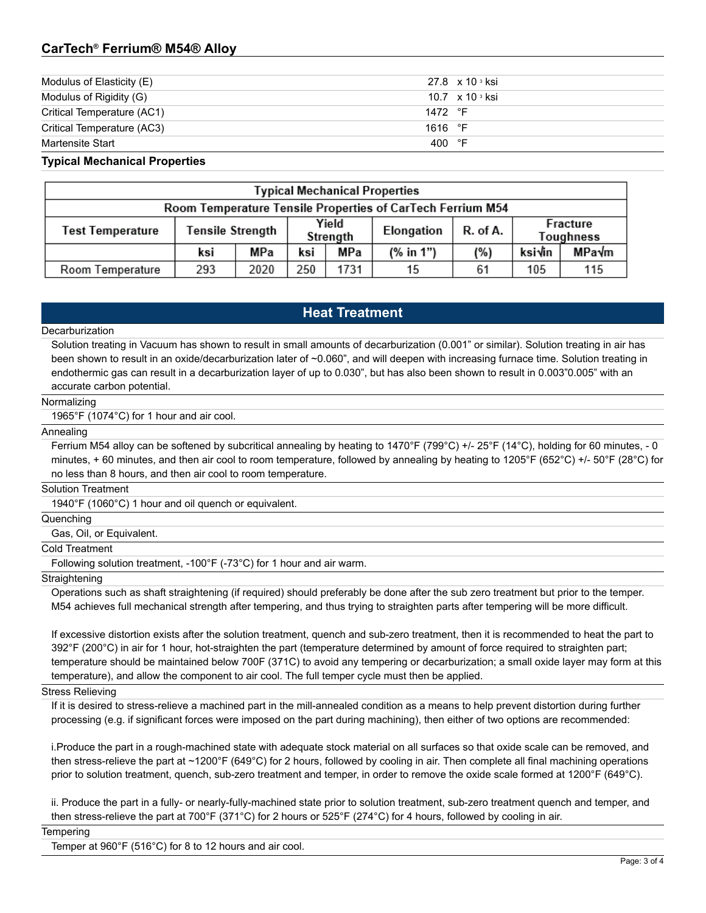# **CarTech® Ferrium® M54® Alloy**

| Modulus of Elasticity (E)  | 27.8 x 10 s ksi                     |
|----------------------------|-------------------------------------|
| Modulus of Rigidity (G)    | 10.7 $\times$ 10 $\frac{3}{10}$ ksi |
| Critical Temperature (AC1) | 1472 °F                             |
| Critical Temperature (AC3) | 1616 $\degree$ F                    |
| Martensite Start           | 400 °F                              |

# **Typical Mechanical Properties**

| <b>Typical Mechanical Properties</b>                       |                         |      |                   |      |            |          |                       |       |
|------------------------------------------------------------|-------------------------|------|-------------------|------|------------|----------|-----------------------|-------|
| Room Temperature Tensile Properties of CarTech Ferrium M54 |                         |      |                   |      |            |          |                       |       |
| Test Temperature                                           | <b>Tensile Strength</b> |      | Yield<br>Strength |      | Elongation | R. of A. | Fracture<br>Toughness |       |
|                                                            | ksi                     | МРа  | ksi               | MPa  | (% in 1")  | (%)      | ksi√in                | MPa√m |
| Room Temperature                                           | 293                     | 2020 | 250               | 1731 | 15         | 61       | 105                   | 115   |

# **Heat Treatment**

### **Decarburization**

Solution treating in Vacuum has shown to result in small amounts of decarburization (0.001" or similar). Solution treating in air has been shown to result in an oxide/decarburization later of ~0.060", and will deepen with increasing furnace time. Solution treating in endothermic gas can result in a decarburization layer of up to 0.030", but has also been shown to result in 0.003"0.005" with an accurate carbon potential.

#### Normalizing

1965°F (1074°C) for 1 hour and air cool.

### Annealing

Ferrium M54 alloy can be softened by subcritical annealing by heating to 1470°F (799°C) +/- 25°F (14°C), holding for 60 minutes, - 0 minutes, + 60 minutes, and then air cool to room temperature, followed by annealing by heating to 1205°F (652°C) +/- 50°F (28°C) for no less than 8 hours, and then air cool to room temperature.

Solution Treatment

1940°F (1060°C) 1 hour and oil quench or equivalent.

Quenching

Gas, Oil, or Equivalent.

Cold Treatment

Following solution treatment, -100°F (-73°C) for 1 hour and air warm.

#### **Straightening**

Operations such as shaft straightening (if required) should preferably be done after the sub zero treatment but prior to the temper. M54 achieves full mechanical strength after tempering, and thus trying to straighten parts after tempering will be more difficult.

If excessive distortion exists after the solution treatment, quench and sub-zero treatment, then it is recommended to heat the part to 392°F (200°C) in air for 1 hour, hot-straighten the part (temperature determined by amount of force required to straighten part; temperature should be maintained below 700F (371C) to avoid any tempering or decarburization; a small oxide layer may form at this temperature), and allow the component to air cool. The full temper cycle must then be applied.

#### Stress Relieving

If it is desired to stress-relieve a machined part in the mill-annealed condition as a means to help prevent distortion during further processing (e.g. if significant forces were imposed on the part during machining), then either of two options are recommended:

i.Produce the part in a rough-machined state with adequate stock material on all surfaces so that oxide scale can be removed, and then stress-relieve the part at ~1200°F (649°C) for 2 hours, followed by cooling in air. Then complete all final machining operations prior to solution treatment, quench, sub-zero treatment and temper, in order to remove the oxide scale formed at 1200°F (649°C).

ii. Produce the part in a fully- or nearly-fully-machined state prior to solution treatment, sub-zero treatment quench and temper, and then stress-relieve the part at 700°F (371°C) for 2 hours or 525°F (274°C) for 4 hours, followed by cooling in air.

**Tempering** 

Temper at 960°F (516°C) for 8 to 12 hours and air cool.